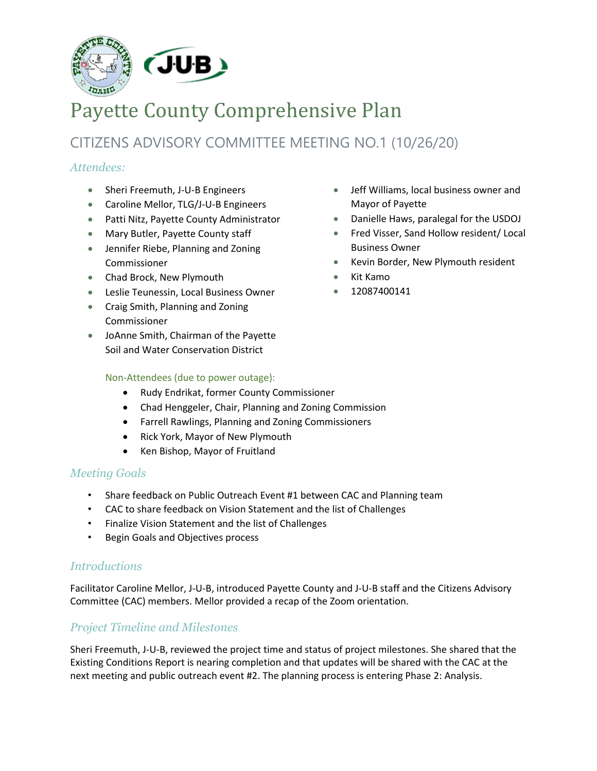

# Payette County Comprehensive Plan

## CITIZENS ADVISORY COMMITTEE MEETING NO.1 (10/26/20)

## *Attendees:*

- Sheri Freemuth, J-U-B Engineers
- Caroline Mellor, TLG/J-U-B Engineers
- Patti Nitz, Payette County Administrator
- Mary Butler, Payette County staff
- Jennifer Riebe, Planning and Zoning Commissioner
- Chad Brock, New Plymouth
- Leslie Teunessin, Local Business Owner
- Craig Smith, Planning and Zoning Commissioner
- JoAnne Smith, Chairman of the Payette Soil and Water Conservation District

## Non-Attendees (due to power outage):

- Rudy Endrikat, former County Commissioner
- Chad Henggeler, Chair, Planning and Zoning Commission
- Farrell Rawlings, Planning and Zoning Commissioners
- Rick York, Mayor of New Plymouth
- Ken Bishop, Mayor of Fruitland

## *Meeting Goals*

- Share feedback on Public Outreach Event #1 between CAC and Planning team
- CAC to share feedback on Vision Statement and the list of Challenges
- Finalize Vision Statement and the list of Challenges
- Begin Goals and Objectives process

## *Introductions*

Facilitator Caroline Mellor, J-U-B, introduced Payette County and J-U-B staff and the Citizens Advisory Committee (CAC) members. Mellor provided a recap of the Zoom orientation.

## *Project Timeline and Milestones*

Sheri Freemuth, J-U-B, reviewed the project time and status of project milestones. She shared that the Existing Conditions Report is nearing completion and that updates will be shared with the CAC at the next meeting and public outreach event #2. The planning process is entering Phase 2: Analysis.

- Jeff Williams, local business owner and Mayor of Payette
- Danielle Haws, paralegal for the USDOJ
- Fred Visser, Sand Hollow resident/ Local Business Owner
- Kevin Border, New Plymouth resident
- Kit Kamo
- 12087400141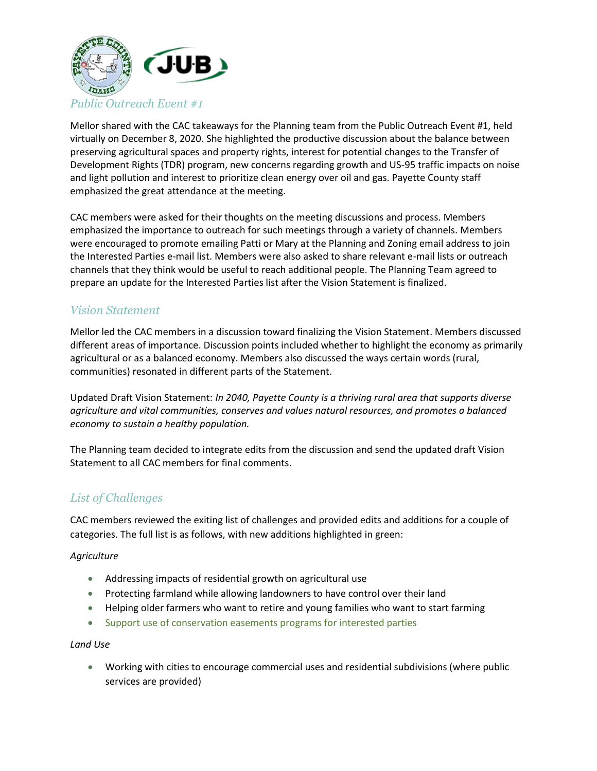

Mellor shared with the CAC takeaways for the Planning team from the Public Outreach Event #1, held virtually on December 8, 2020. She highlighted the productive discussion about the balance between preserving agricultural spaces and property rights, interest for potential changes to the Transfer of Development Rights (TDR) program, new concerns regarding growth and US-95 traffic impacts on noise and light pollution and interest to prioritize clean energy over oil and gas. Payette County staff emphasized the great attendance at the meeting.

CAC members were asked for their thoughts on the meeting discussions and process. Members emphasized the importance to outreach for such meetings through a variety of channels. Members were encouraged to promote emailing Patti or Mary at the Planning and Zoning email address to join the Interested Parties e-mail list. Members were also asked to share relevant e-mail lists or outreach channels that they think would be useful to reach additional people. The Planning Team agreed to prepare an update for the Interested Parties list after the Vision Statement is finalized.

## *Vision Statement*

Mellor led the CAC members in a discussion toward finalizing the Vision Statement. Members discussed different areas of importance. Discussion points included whether to highlight the economy as primarily agricultural or as a balanced economy. Members also discussed the ways certain words (rural, communities) resonated in different parts of the Statement.

Updated Draft Vision Statement: *In 2040, Payette County is a thriving rural area that supports diverse agriculture and vital communities, conserves and values natural resources, and promotes a balanced economy to sustain a healthy population.* 

The Planning team decided to integrate edits from the discussion and send the updated draft Vision Statement to all CAC members for final comments.

## *List of Challenges*

CAC members reviewed the exiting list of challenges and provided edits and additions for a couple of categories. The full list is as follows, with new additions highlighted in green:

#### *Agriculture*

- Addressing impacts of residential growth on agricultural use
- Protecting farmland while allowing landowners to have control over their land
- Helping older farmers who want to retire and young families who want to start farming
- Support use of conservation easements programs for interested parties

#### *Land Use*

• Working with cities to encourage commercial uses and residential subdivisions (where public services are provided)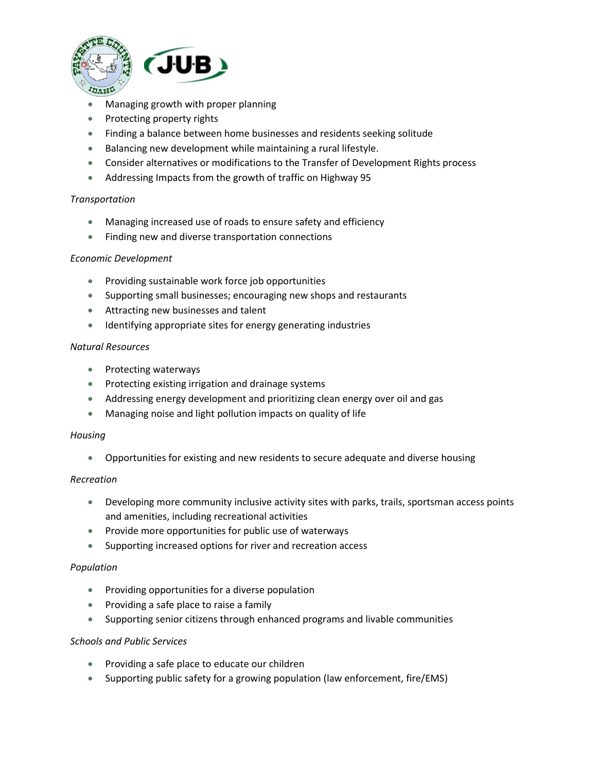

- Managing growth with proper planning
- Protecting property rights
- Finding a balance between home businesses and residents seeking solitude
- Balancing new development while maintaining a rural lifestyle.
- Consider alternatives or modifications to the Transfer of Development Rights process
- Addressing Impacts from the growth of traffic on Highway 95

#### *Transportation*

- Managing increased use of roads to ensure safety and efficiency
- Finding new and diverse transportation connections

#### *Economic Development*

- Providing sustainable work force job opportunities
- Supporting small businesses; encouraging new shops and restaurants
- Attracting new businesses and talent
- Identifying appropriate sites for energy generating industries

#### *Natural Resources*

- Protecting waterways
- Protecting existing irrigation and drainage systems
- Addressing energy development and prioritizing clean energy over oil and gas
- Managing noise and light pollution impacts on quality of life

#### *Housing*

• Opportunities for existing and new residents to secure adequate and diverse housing

#### *Recreation*

- Developing more community inclusive activity sites with parks, trails, sportsman access points and amenities, including recreational activities
- Provide more opportunities for public use of waterways
- Supporting increased options for river and recreation access

#### *Population*

- Providing opportunities for a diverse population
- Providing a safe place to raise a family
- Supporting senior citizens through enhanced programs and livable communities

#### *Schools and Public Services*

- Providing a safe place to educate our children
- Supporting public safety for a growing population (law enforcement, fire/EMS)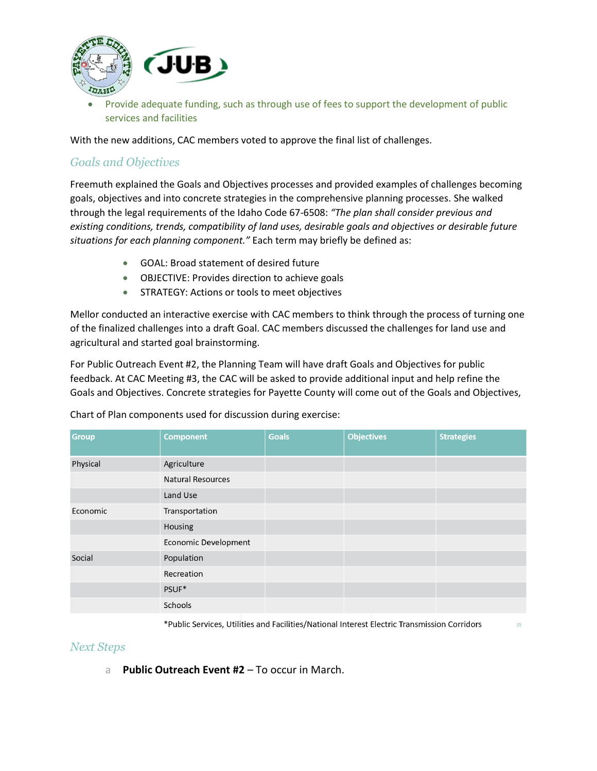

• Provide adequate funding, such as through use of fees to support the development of public services and facilities

With the new additions, CAC members voted to approve the final list of challenges.

## *Goals and Objectives*

Freemuth explained the Goals and Objectives processes and provided examples of challenges becoming goals, objectives and into concrete strategies in the comprehensive planning processes. She walked through the legal requirements of the Idaho Code 67-6508: *"The plan shall consider previous and existing conditions, trends, compatibility of land uses, desirable goals and objectives or desirable future situations for each planning component."* Each term may briefly be defined as:

- GOAL: Broad statement of desired future
- OBJECTIVE: Provides direction to achieve goals
- STRATEGY: Actions or tools to meet objectives

Mellor conducted an interactive exercise with CAC members to think through the process of turning one of the finalized challenges into a draft Goal. CAC members discussed the challenges for land use and agricultural and started goal brainstorming.

For Public Outreach Event #2, the Planning Team will have draft Goals and Objectives for public feedback. At CAC Meeting #3, the CAC will be asked to provide additional input and help refine the Goals and Objectives. Concrete strategies for Payette County will come out of the Goals and Objectives,

| <b>Group</b> | <b>Component</b>         | <b>Goals</b> | <b>Objectives</b> | <b>Strategies</b> |
|--------------|--------------------------|--------------|-------------------|-------------------|
| Physical     | Agriculture              |              |                   |                   |
|              | <b>Natural Resources</b> |              |                   |                   |
|              | Land Use                 |              |                   |                   |
| Economic     | Transportation           |              |                   |                   |
|              | Housing                  |              |                   |                   |
|              | Economic Development     |              |                   |                   |
| Social       | Population               |              |                   |                   |
|              | Recreation               |              |                   |                   |
|              | PSUF*                    |              |                   |                   |
|              | Schools                  |              |                   |                   |

Chart of Plan components used for discussion during exercise:

\*Public Services, Utilities and Facilities/National Interest Electric Transmission Corridors

## *Next Steps*

a **Public Outreach Event #2** – To occur in March.